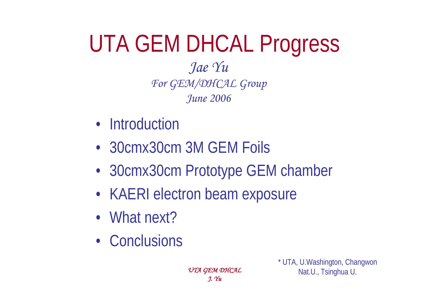## UTA GEM DHCAL Progress *Jae Yu*

*For GEM/DHCAL Group June 2006*

- Introduction
- 30cmx30cm 3M GEM Foils
- 30cmx30cm Prototype GEM chamber
- KAERI electron beam exposure
- What next?
- Conclusions

*UTA GEM DHCAL J. Yu*

\* UTA, U.Washington, Changwon Nat.U., Tsinghua U.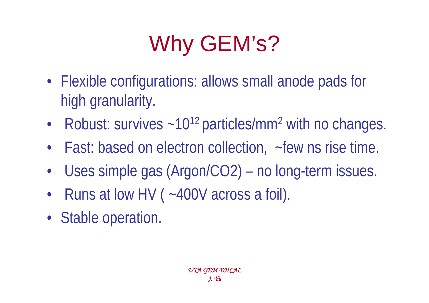# Why GEM's?

- Flexible configurations: allows small anode pads for high granularity.
- •Robust: survives  $\sim$  10<sup>12</sup> particles/mm<sup>2</sup> with no changes.
- Fast: based on electron collection, ~few ns rise time.
- •Uses simple gas (Argon/CO2) – no long-term issues.
- •Runs at low HV (~400V across a foil).
- Stable operation.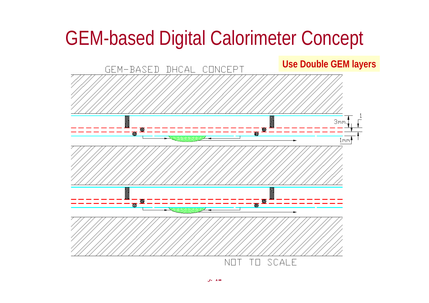## GEM-based Digital Calorimeter Concept

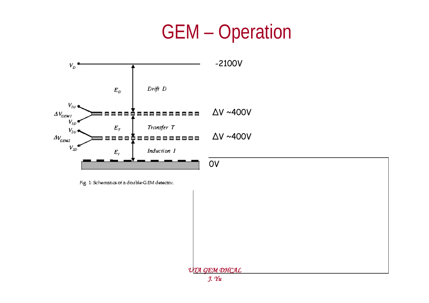## GEM – Operation



Fig. 1: Schematics of a double-GEM detector.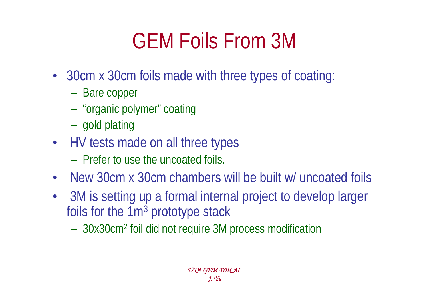# GEM Foils From 3M

- 30cm x 30cm foils made with three types of coating:
	- –Bare copper
	- –"organic polymer" coating
	- –gold plating
- HV tests made on all three types
	- Prefer to use the uncoated foils.
- $\bullet$ New 30cm x 30cm chambers will be built w/ uncoated foils
- • 3M is setting up a formal internal project to develop larger foils for the  $1m<sup>3</sup>$  prototype stack
	- –30x30cm2 foil did not require 3M process modification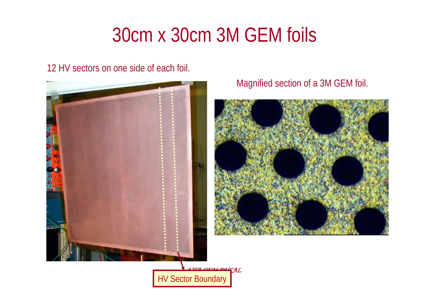## 30cm x 30cm 3M GEM foils

12 HV sectors on one side of each foil.



Magnified section of a 3M GEM foil.



*UTA GEM DHCAL* **HV Sector Boundary**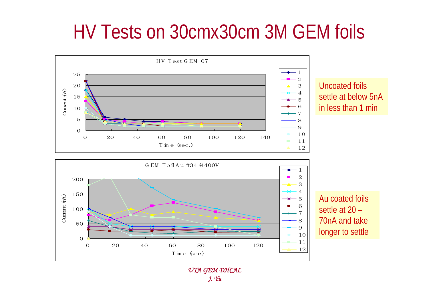## HV Tests on 30cmx30cm 3M GEM foils



20 40 60 80 100 120 | 7891011 settle at 20 – 70nA and take longer to settle

12

*UTA GEM DHCAL J. Yu*

Tim e (sec)

 $\Omega$ 

0

50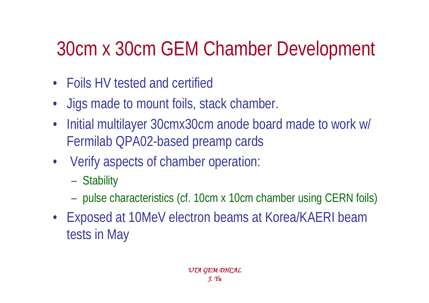## 30cm x 30cm GEM Chamber Development

- Foils HV tested and certified
- Jigs made to mount foils, stack chamber.
- • Initial multilayer 30cmx30cm anode board made to work w/ Fermilab QPA02-based preamp cards
- Verify aspects of chamber operation:
	- –**Stability**
	- –pulse characteristics (cf. 10cm x 10cm chamber using CERN foils)
- Exposed at 10MeV electron beams at Korea/KAERI beam tests in May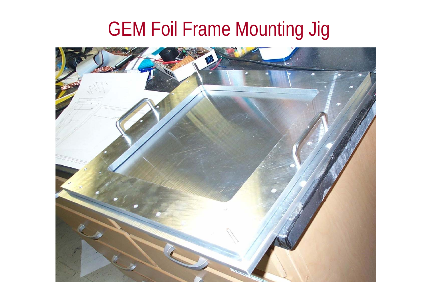## GEM Foil Frame Mounting Jig

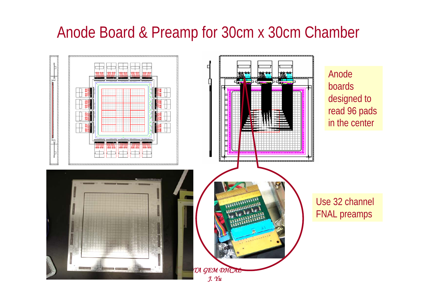#### Anode Board & Preamp for 30cm x 30cm Chamber

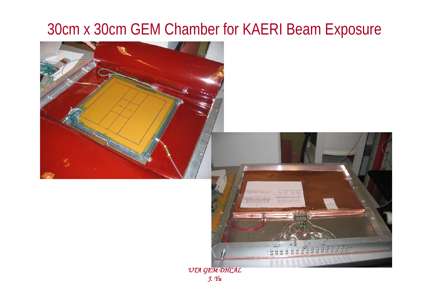### 30cm x 30cm GEM Chamber for KAERI Beam Exposure





*UTA GEM DHCAL J. Yu*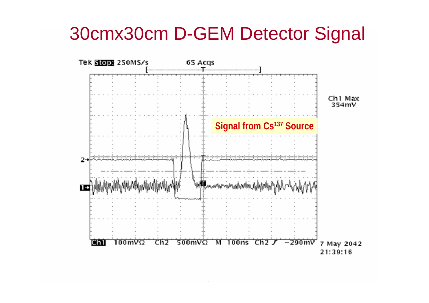## 30cmx30cm D-GEM Detector Signal

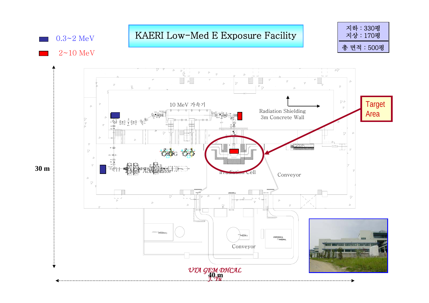$0.3 - 2$  MeV

#### KAERI Low-Med E Exposure Facility

지하 : 330평 지상 : 170평 총 면적 : 500평

 $2~10$  MeV

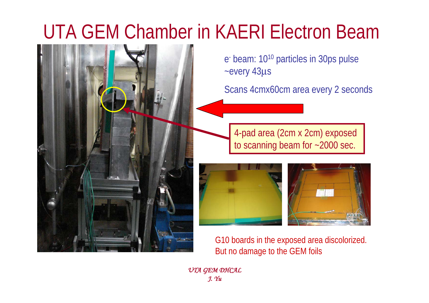## UTA GEM Chamber in KAERI Electron Beam



e- beam: 1010 particles in 30ps pulse ~every 43μ<sup>s</sup>

Scans 4cmx60cm area every 2 seconds

4-pad area (2cm x 2cm) exposed to scanning beam for ~2000 sec.



G10 boards in the exposed area discolorized. But no damage to the GEM foils

*UTA GEM DHCAL J. Yu*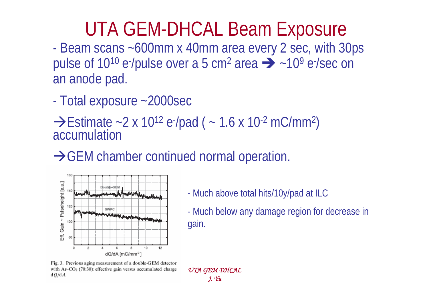## UTA GEM-DHCAL Beam Exposure

- Beam scans ~600mm x 40mm area every 2 sec, with 30ps pulse of 10<sup>10</sup> e-/pulse over a 5 cm<sup>2</sup> area  $\rightarrow$  ~10<sup>9</sup> e-/sec on an anode pad.

-Total exposure ~2000sec

 $\rightarrow$ Estimate ~2 x 10<sup>12</sup> e<sup>-</sup>/pad ( ~ 1.6 x 10<sup>-2</sup> mC/mm<sup>2</sup>)<br>accumulation

 $\rightarrow$  GEM chamber continued normal operation.



-Much above total hits/10y/pad at ILC

- Much below any damage region for decrease in gain.

Fig. 3. Previous aging measurement of a double-GEM detector with  $Ar$ - $CO<sub>2</sub>$  (70:30): effective gain versus accumulated charge  $dO/dA$ .

*UTA GEM DHCAL J. Yu*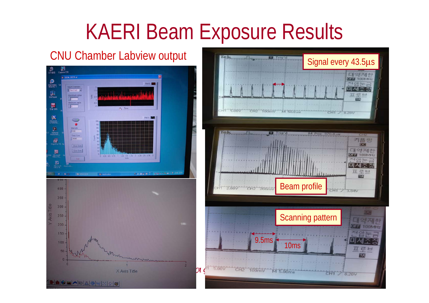## KAERI Beam Exposure Results



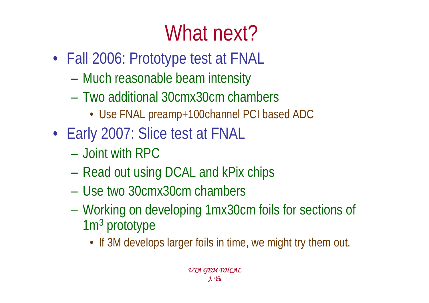# What next?

- Fall 2006: Prototype test at FNAL
	- and the state of the state of Much reasonable beam intensity
	- Two additional 30cmx30cm chambers
		- Use FNAL preamp+100channel PCI based ADC
- Early 2007: Slice test at FNAL
	- Joint with RPC
	- –Read out using DCAL and kPix chips
	- Use two 30cmx30cm chambers
	- – Working on developing 1mx30cm foils for sections of 1m<sup>3</sup> prototype
		- If 3M develops larger foils in time, we might try them out.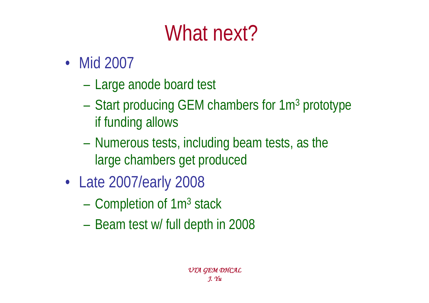# What next?

- Mid 2007
	- **However, Marketing Committee** Large anode board test
	- **Holland Committee** Start producing GEM chambers for 1m<sup>3</sup> prototype if funding allows
	- – Numerous tests, including beam tests, as the large chambers get produced
- • Late 2007/early 2008
	- –Completion of 1m<sup>3</sup> stack
	- and the state of the state of Beam test w/ full depth in 2008